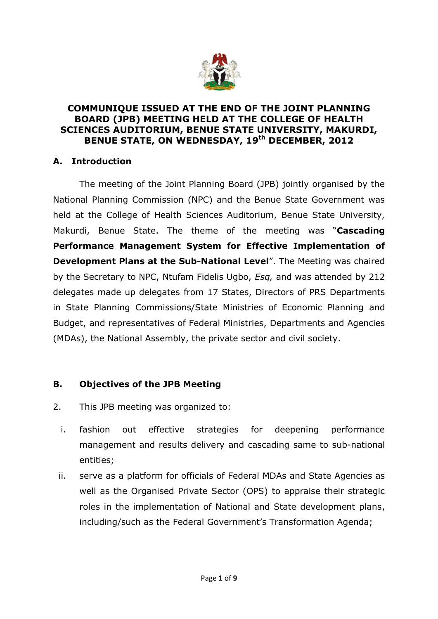

#### **COMMUNIQUE ISSUED AT THE END OF THE JOINT PLANNING BOARD (JPB) MEETING HELD AT THE COLLEGE OF HEALTH SCIENCES AUDITORIUM, BENUE STATE UNIVERSITY, MAKURDI, BENUE STATE, ON WEDNESDAY, 19th DECEMBER, 2012**

# **A. Introduction**

The meeting of the Joint Planning Board (JPB) jointly organised by the National Planning Commission (NPC) and the Benue State Government was held at the College of Health Sciences Auditorium, Benue State University, Makurdi, Benue State. The theme of the meeting was "**Cascading Performance Management System for Effective Implementation of Development Plans at the Sub-National Level**". The Meeting was chaired by the Secretary to NPC, Ntufam Fidelis Ugbo, *Esq,* and was attended by 212 delegates made up delegates from 17 States, Directors of PRS Departments in State Planning Commissions/State Ministries of Economic Planning and Budget, and representatives of Federal Ministries, Departments and Agencies (MDAs), the National Assembly, the private sector and civil society.

# **B. Objectives of the JPB Meeting**

- 2. This JPB meeting was organized to:
	- i. fashion out effective strategies for deepening performance management and results delivery and cascading same to sub-national entities;
	- ii. serve as a platform for officials of Federal MDAs and State Agencies as well as the Organised Private Sector (OPS) to appraise their strategic roles in the implementation of National and State development plans, including/such as the Federal Government's Transformation Agenda;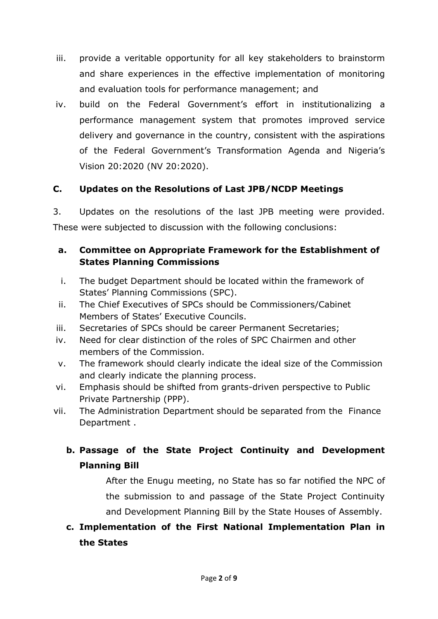- iii. provide a veritable opportunity for all key stakeholders to brainstorm and share experiences in the effective implementation of monitoring and evaluation tools for performance management; and
- iv. build on the Federal Government's effort in institutionalizing a performance management system that promotes improved service delivery and governance in the country, consistent with the aspirations of the Federal Government's Transformation Agenda and Nigeria's Vision 20:2020 (NV 20:2020).

# **C. Updates on the Resolutions of Last JPB/NCDP Meetings**

3. Updates on the resolutions of the last JPB meeting were provided. These were subjected to discussion with the following conclusions:

## **a. Committee on Appropriate Framework for the Establishment of States Planning Commissions**

- i. The budget Department should be located within the framework of States' Planning Commissions (SPC).
- ii. The Chief Executives of SPCs should be Commissioners/Cabinet Members of States' Executive Councils.
- iii. Secretaries of SPCs should be career Permanent Secretaries;
- iv. Need for clear distinction of the roles of SPC Chairmen and other members of the Commission.
- v. The framework should clearly indicate the ideal size of the Commission and clearly indicate the planning process.
- vi. Emphasis should be shifted from grants-driven perspective to Public Private Partnership (PPP).
- vii. The Administration Department should be separated from the Finance Department .

# **b. Passage of the State Project Continuity and Development Planning Bill**

After the Enugu meeting, no State has so far notified the NPC of the submission to and passage of the State Project Continuity and Development Planning Bill by the State Houses of Assembly.

# **c. Implementation of the First National Implementation Plan in the States**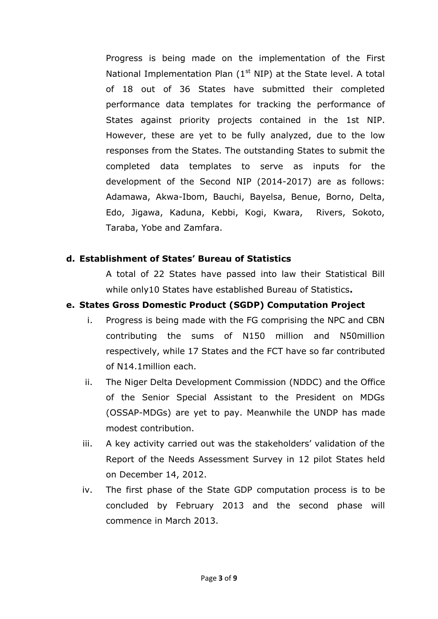Progress is being made on the implementation of the First National Implementation Plan  $(1<sup>st</sup> NIP)$  at the State level. A total of 18 out of 36 States have submitted their completed performance data templates for tracking the performance of States against priority projects contained in the 1st NIP. However, these are yet to be fully analyzed, due to the low responses from the States. The outstanding States to submit the completed data templates to serve as inputs for the development of the Second NIP (2014-2017) are as follows: Adamawa, Akwa-Ibom, Bauchi, Bayelsa, Benue, Borno, Delta, Edo, Jigawa, Kaduna, Kebbi, Kogi, Kwara, Rivers, Sokoto, Taraba, Yobe and Zamfara.

#### **d. Establishment of States' Bureau of Statistics**

A total of 22 States have passed into law their Statistical Bill while only10 States have established Bureau of Statistics**.** 

## **e. States Gross Domestic Product (SGDP) Computation Project**

- i. Progress is being made with the FG comprising the NPC and CBN contributing the sums of N150 million and N50million respectively, while 17 States and the FCT have so far contributed of N14.1million each.
- ii. The Niger Delta Development Commission (NDDC) and the Office of the Senior Special Assistant to the President on MDGs (OSSAP-MDGs) are yet to pay. Meanwhile the UNDP has made modest contribution.
- iii. A key activity carried out was the stakeholders' validation of the Report of the Needs Assessment Survey in 12 pilot States held on December 14, 2012.
- iv. The first phase of the State GDP computation process is to be concluded by February 2013 and the second phase will commence in March 2013.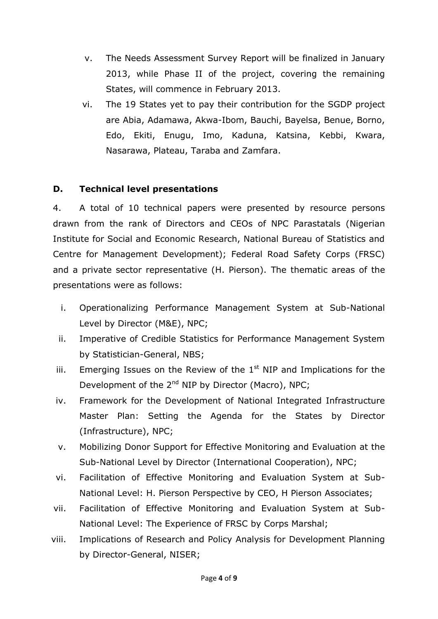- v. The Needs Assessment Survey Report will be finalized in January 2013, while Phase II of the project, covering the remaining States, will commence in February 2013.
- vi. The 19 States yet to pay their contribution for the SGDP project are Abia, Adamawa, Akwa-Ibom, Bauchi, Bayelsa, Benue, Borno, Edo, Ekiti, Enugu, Imo, Kaduna, Katsina, Kebbi, Kwara, Nasarawa, Plateau, Taraba and Zamfara.

## **D. Technical level presentations**

4. A total of 10 technical papers were presented by resource persons drawn from the rank of Directors and CEOs of NPC Parastatals (Nigerian Institute for Social and Economic Research, National Bureau of Statistics and Centre for Management Development); Federal Road Safety Corps (FRSC) and a private sector representative (H. Pierson). The thematic areas of the presentations were as follows:

- i. Operationalizing Performance Management System at Sub-National Level by Director (M&E), NPC;
- ii. Imperative of Credible Statistics for Performance Management System by Statistician-General, NBS;
- iii. Emerging Issues on the Review of the  $1<sup>st</sup>$  NIP and Implications for the Development of the 2<sup>nd</sup> NIP by Director (Macro), NPC;
- iv. Framework for the Development of National Integrated Infrastructure Master Plan: Setting the Agenda for the States by Director (Infrastructure), NPC;
- v. Mobilizing Donor Support for Effective Monitoring and Evaluation at the Sub-National Level by Director (International Cooperation), NPC;
- vi. Facilitation of Effective Monitoring and Evaluation System at Sub-National Level: H. Pierson Perspective by CEO, H Pierson Associates;
- vii. Facilitation of Effective Monitoring and Evaluation System at Sub-National Level: The Experience of FRSC by Corps Marshal;
- viii. Implications of Research and Policy Analysis for Development Planning by Director-General, NISER;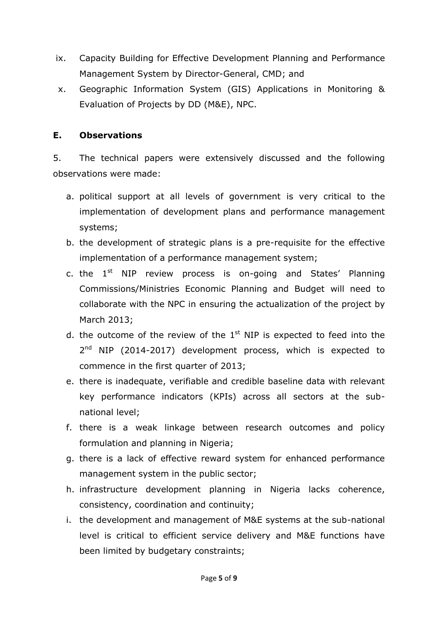- ix. Capacity Building for Effective Development Planning and Performance Management System by Director-General, CMD; and
- x. Geographic Information System (GIS) Applications in Monitoring & Evaluation of Projects by DD (M&E), NPC.

## **E. Observations**

5. The technical papers were extensively discussed and the following observations were made:

- a. political support at all levels of government is very critical to the implementation of development plans and performance management systems;
- b. the development of strategic plans is a pre-requisite for the effective implementation of a performance management system;
- c. the  $1<sup>st</sup>$  NIP review process is on-going and States' Planning Commissions/Ministries Economic Planning and Budget will need to collaborate with the NPC in ensuring the actualization of the project by March 2013;
- d. the outcome of the review of the  $1<sup>st</sup>$  NIP is expected to feed into the 2<sup>nd</sup> NIP (2014-2017) development process, which is expected to commence in the first quarter of 2013;
- e. there is inadequate, verifiable and credible baseline data with relevant key performance indicators (KPIs) across all sectors at the subnational level;
- f. there is a weak linkage between research outcomes and policy formulation and planning in Nigeria;
- g. there is a lack of effective reward system for enhanced performance management system in the public sector;
- h. infrastructure development planning in Nigeria lacks coherence, consistency, coordination and continuity;
- i. the development and management of M&E systems at the sub-national level is critical to efficient service delivery and M&E functions have been limited by budgetary constraints;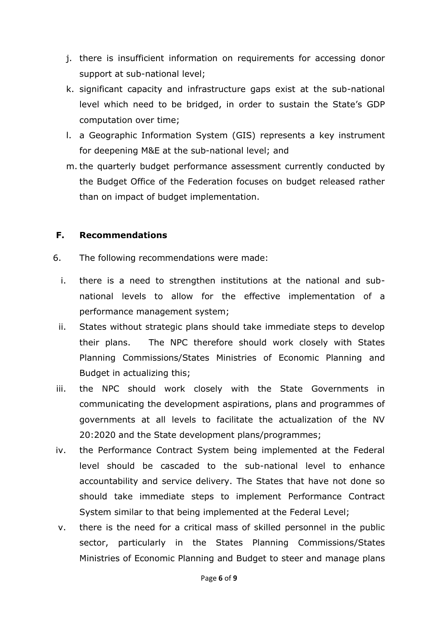- j. there is insufficient information on requirements for accessing donor support at sub-national level;
- k. significant capacity and infrastructure gaps exist at the sub-national level which need to be bridged, in order to sustain the State's GDP computation over time;
- l. a Geographic Information System (GIS) represents a key instrument for deepening M&E at the sub-national level; and
- m. the quarterly budget performance assessment currently conducted by the Budget Office of the Federation focuses on budget released rather than on impact of budget implementation.

#### **F. Recommendations**

- 6. The following recommendations were made:
	- i. there is a need to strengthen institutions at the national and subnational levels to allow for the effective implementation of a performance management system;
	- ii. States without strategic plans should take immediate steps to develop their plans. The NPC therefore should work closely with States Planning Commissions/States Ministries of Economic Planning and Budget in actualizing this;
- iii. the NPC should work closely with the State Governments in communicating the development aspirations, plans and programmes of governments at all levels to facilitate the actualization of the NV 20:2020 and the State development plans/programmes;
- iv. the Performance Contract System being implemented at the Federal level should be cascaded to the sub-national level to enhance accountability and service delivery. The States that have not done so should take immediate steps to implement Performance Contract System similar to that being implemented at the Federal Level;
- v. there is the need for a critical mass of skilled personnel in the public sector, particularly in the States Planning Commissions/States Ministries of Economic Planning and Budget to steer and manage plans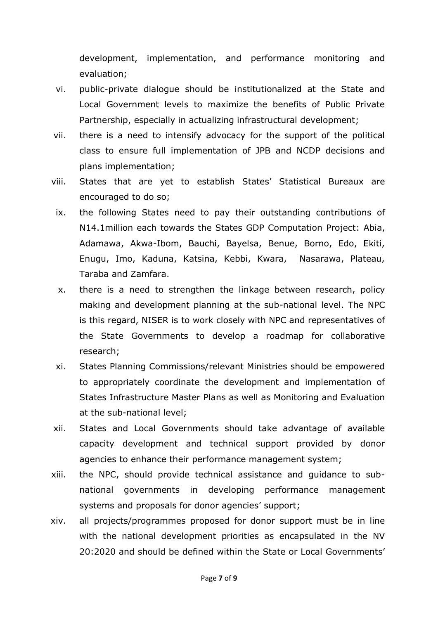development, implementation, and performance monitoring and evaluation;

- vi. public-private dialogue should be institutionalized at the State and Local Government levels to maximize the benefits of Public Private Partnership, especially in actualizing infrastructural development;
- vii. there is a need to intensify advocacy for the support of the political class to ensure full implementation of JPB and NCDP decisions and plans implementation;
- viii. States that are yet to establish States' Statistical Bureaux are encouraged to do so;
- ix. the following States need to pay their outstanding contributions of N14.1million each towards the States GDP Computation Project: Abia, Adamawa, Akwa-Ibom, Bauchi, Bayelsa, Benue, Borno, Edo, Ekiti, Enugu, Imo, Kaduna, Katsina, Kebbi, Kwara, Nasarawa, Plateau, Taraba and Zamfara.
- x. there is a need to strengthen the linkage between research, policy making and development planning at the sub-national level. The NPC is this regard, NISER is to work closely with NPC and representatives of the State Governments to develop a roadmap for collaborative research;
- xi. States Planning Commissions/relevant Ministries should be empowered to appropriately coordinate the development and implementation of States Infrastructure Master Plans as well as Monitoring and Evaluation at the sub-national level;
- xii. States and Local Governments should take advantage of available capacity development and technical support provided by donor agencies to enhance their performance management system;
- xiii. the NPC, should provide technical assistance and guidance to subnational governments in developing performance management systems and proposals for donor agencies' support;
- xiv. all projects/programmes proposed for donor support must be in line with the national development priorities as encapsulated in the NV 20:2020 and should be defined within the State or Local Governments'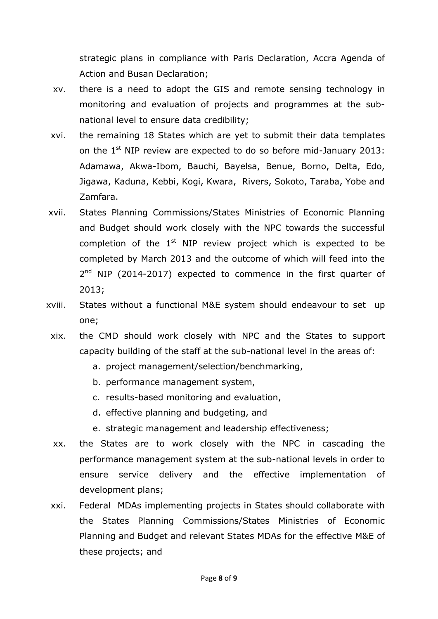strategic plans in compliance with Paris Declaration, Accra Agenda of Action and Busan Declaration;

- xv. there is a need to adopt the GIS and remote sensing technology in monitoring and evaluation of projects and programmes at the subnational level to ensure data credibility;
- xvi. the remaining 18 States which are yet to submit their data templates on the 1<sup>st</sup> NIP review are expected to do so before mid-January 2013: Adamawa, Akwa-Ibom, Bauchi, Bayelsa, Benue, Borno, Delta, Edo, Jigawa, Kaduna, Kebbi, Kogi, Kwara, Rivers, Sokoto, Taraba, Yobe and Zamfara.
- xvii. States Planning Commissions/States Ministries of Economic Planning and Budget should work closely with the NPC towards the successful completion of the  $1<sup>st</sup>$  NIP review project which is expected to be completed by March 2013 and the outcome of which will feed into the 2<sup>nd</sup> NIP (2014-2017) expected to commence in the first quarter of 2013;
- xviii. States without a functional M&E system should endeavour to set up one;
- xix. the CMD should work closely with NPC and the States to support capacity building of the staff at the sub-national level in the areas of:
	- a. project management/selection/benchmarking,
	- b. performance management system,
	- c. results-based monitoring and evaluation,
	- d. effective planning and budgeting, and
	- e. strategic management and leadership effectiveness;
- xx. the States are to work closely with the NPC in cascading the performance management system at the sub-national levels in order to ensure service delivery and the effective implementation of development plans;
- xxi. Federal MDAs implementing projects in States should collaborate with the States Planning Commissions/States Ministries of Economic Planning and Budget and relevant States MDAs for the effective M&E of these projects; and